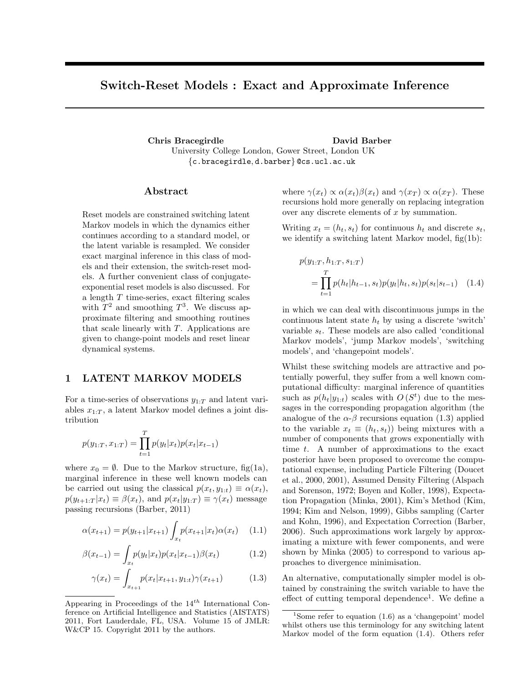# Switch-Reset Models : Exact and Approximate Inference

Chris Bracegirdle David Barber University College London, Gower Street, London UK {c.bracegirdle, d.barber} @cs.ucl.ac.uk

## Abstract

Reset models are constrained switching latent Markov models in which the dynamics either continues according to a standard model, or the latent variable is resampled. We consider exact marginal inference in this class of models and their extension, the switch-reset models. A further convenient class of conjugateexponential reset models is also discussed. For a length T time-series, exact filtering scales with  $T^2$  and smoothing  $T^3$ . We discuss approximate filtering and smoothing routines that scale linearly with T. Applications are given to change-point models and reset linear dynamical systems.

## 1 LATENT MARKOV MODELS

For a time-series of observations  $y_{1:T}$  and latent variables  $x_1 \tau$ , a latent Markov model defines a joint distribution

$$
p(y_{1:T}, x_{1:T}) = \prod_{t=1}^{T} p(y_t | x_t) p(x_t | x_{t-1})
$$

where  $x_0 = \emptyset$ . Due to the Markov structure, fig(1a), marginal inference in these well known models can be carried out using the classical  $p(x_t, y_{1:t}) \equiv \alpha(x_t)$ ,  $p(y_{t+1:T} | x_t) \equiv \beta(x_t)$ , and  $p(x_t | y_{1:T}) \equiv \gamma(x_t)$  message passing recursions (Barber, 2011)

$$
\alpha(x_{t+1}) = p(y_{t+1}|x_{t+1}) \int_{x_t} p(x_{t+1}|x_t) \alpha(x_t) \quad (1.1)
$$

$$
\beta(x_{t-1}) = \int_{x_t} p(y_t | x_t) p(x_t | x_{t-1}) \beta(x_t)
$$
\n(1.2)

$$
\gamma(x_t) = \int_{x_{t+1}} p(x_t | x_{t+1}, y_{1:t}) \gamma(x_{t+1}) \tag{1.3}
$$

where  $\gamma(x_t) \propto \alpha(x_t) \beta(x_t)$  and  $\gamma(x_T) \propto \alpha(x_T)$ . These recursions hold more generally on replacing integration over any discrete elements of  $x$  by summation.

Writing  $x_t = (h_t, s_t)$  for continuous  $h_t$  and discrete  $s_t$ , we identify a switching latent Markov model, fig(1b):

$$
p(y_{1:T}, h_{1:T}, s_{1:T})
$$
  
= 
$$
\prod_{t=1}^{T} p(h_t|h_{t-1}, s_t) p(y_t|h_t, s_t) p(s_t|s_{t-1})
$$
 (1.4)

in which we can deal with discontinuous jumps in the continuous latent state  $h_t$  by using a discrete 'switch' variable  $s_t$ . These models are also called 'conditional Markov models', 'jump Markov models', 'switching models', and 'changepoint models'.

Whilst these switching models are attractive and potentially powerful, they suffer from a well known computational difficulty: marginal inference of quantities such as  $p(h_t|y_{1:t})$  scales with  $O(S^t)$  due to the messages in the corresponding propagation algorithm (the analogue of the  $\alpha$ - $\beta$  recursions equation (1.3) applied to the variable  $x_t \equiv (h_t, s_t)$  being mixtures with a number of components that grows exponentially with time  $t$ . A number of approximations to the exact posterior have been proposed to overcome the computational expense, including Particle Filtering (Doucet et al., 2000, 2001), Assumed Density Filtering (Alspach and Sorenson, 1972; Boyen and Koller, 1998), Expectation Propagation (Minka, 2001), Kim's Method (Kim, 1994; Kim and Nelson, 1999), Gibbs sampling (Carter and Kohn, 1996), and Expectation Correction (Barber, 2006). Such approximations work largely by approximating a mixture with fewer components, and were shown by Minka (2005) to correspond to various approaches to divergence minimisation.

An alternative, computationally simpler model is obtained by constraining the switch variable to have the effect of cutting temporal dependence<sup>1</sup>. We define a

Appearing in Proceedings of the  $14^{th}$  International Conference on Artificial Intelligence and Statistics (AISTATS) 2011, Fort Lauderdale, FL, USA. Volume 15 of JMLR: W&CP 15. Copyright 2011 by the authors.

<sup>&</sup>lt;sup>1</sup>Some refer to equation  $(1.6)$  as a 'changepoint' model whilst others use this terminology for any switching latent Markov model of the form equation (1.4). Others refer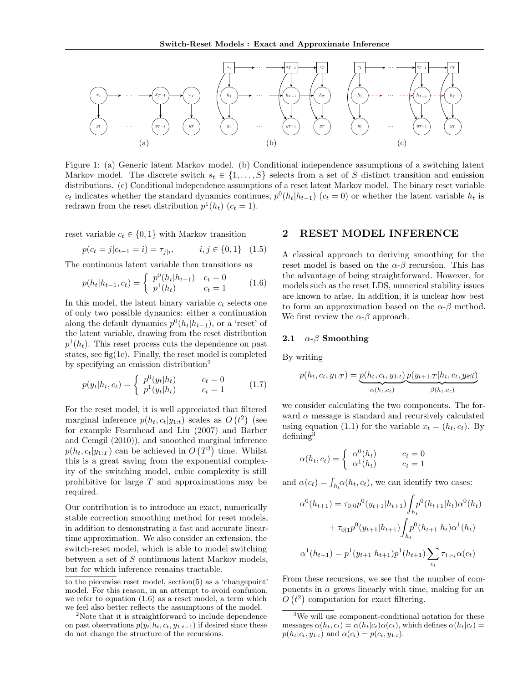

Figure 1: (a) Generic latent Markov model. (b) Conditional independence assumptions of a switching latent Markov model. The discrete switch  $s_t \in \{1, \ldots, S\}$  selects from a set of S distinct transition and emission distributions. (c) Conditional independence assumptions of a reset latent Markov model. The binary reset variable  $c_t$  indicates whether the standard dynamics continues,  $p^0(h_t|h_{t-1})$  ( $c_t = 0$ ) or whether the latent variable  $h_t$  is redrawn from the reset distribution  $p^1(h_t)$   $(c_t = 1)$ .

reset variable  $c_t \in \{0, 1\}$  with Markov transition

$$
p(c_t = j | c_{t-1} = i) = \tau_{j|i}, \qquad i, j \in \{0, 1\} \quad (1.5)
$$

The continuous latent variable then transitions as

$$
p(h_t|h_{t-1}, c_t) = \begin{cases} p^{0}(h_t|h_{t-1}) & c_t = 0\\ p^{1}(h_t) & c_t = 1 \end{cases} \tag{1.6}
$$

In this model, the latent binary variable  $c_t$  selects one of only two possible dynamics: either a continuation along the default dynamics  $p^0(h_t|h_{t-1})$ , or a 'reset' of the latent variable, drawing from the reset distribution  $p^1(h_t)$ . This reset process cuts the dependence on past states, see fig(1c). Finally, the reset model is completed by specifying an emission distribution<sup>2</sup>

$$
p(y_t|h_t, c_t) = \begin{cases} p^{0}(y_t|h_t) & c_t = 0\\ p^{1}(y_t|h_t) & c_t = 1 \end{cases}
$$
 (1.7)

For the reset model, it is well appreciated that filtered marginal inference  $p(h_t, c_t|y_{1:t})$  scales as  $O(t^2)$  (see for example Fearnhead and Liu (2007) and Barber and Cemgil (2010)), and smoothed marginal inference  $p(h_t, c_t|y_{1:T})$  can be achieved in  $O(T^3)$  time. Whilst this is a great saving from the exponential complexity of the switching model, cubic complexity is still prohibitive for large T and approximations may be required.

Our contribution is to introduce an exact, numerically stable correction smoothing method for reset models, in addition to demonstrating a fast and accurate lineartime approximation. We also consider an extension, the switch-reset model, which is able to model switching between a set of S continuous latent Markov models, but for which inference remains tractable.

to the piecewise reset model, section(5) as a 'changepoint' model. For this reason, in an attempt to avoid confusion, we refer to equation (1.6) as a reset model, a term which we feel also better reflects the assumptions of the model.

<sup>2</sup>Note that it is straightforward to include dependence on past observations  $p(y_t|h_t, c_t, y_{1:t-1})$  if desired since these do not change the structure of the recursions.

### 2 RESET MODEL INFERENCE

A classical approach to deriving smoothing for the reset model is based on the  $\alpha$ - $\beta$  recursion. This has the advantage of being straightforward. However, for models such as the reset LDS, numerical stability issues are known to arise. In addition, it is unclear how best to form an approximation based on the  $\alpha$ - $\beta$  method. We first review the  $\alpha$ - $\beta$  approach.

### 2.1  $\alpha$ - $\beta$  Smoothing

By writing

$$
p(h_t, c_t, y_{1:T}) = \underbrace{p(h_t, c_t, y_{1:t})}_{\alpha(h_t, c_t)} \underbrace{p(y_{t+1:T}|h_t, c_t, y_{t:T})}_{\beta(h_t, c_t)}
$$

we consider calculating the two components. The forward  $\alpha$  message is standard and recursively calculated using equation (1.1) for the variable  $x_t = (h_t, c_t)$ . By defining<sup>3</sup>

$$
\alpha(h_t, c_t) = \begin{cases} \alpha^0(h_t) & c_t = 0\\ \alpha^1(h_t) & c_t = 1 \end{cases}
$$

and  $\alpha(c_t) = \int_{h_t} \alpha(h_t, c_t)$ , we can identify two cases:

$$
\alpha^{0}(h_{t+1}) = \tau_{0|0} p^{0}(y_{t+1}|h_{t+1}) \int_{h_{t}} p^{0}(h_{t+1}|h_{t}) \alpha^{0}(h_{t})
$$

$$
+ \tau_{0|1} p^{0}(y_{t+1}|h_{t+1}) \int_{h_{t}} p^{0}(h_{t+1}|h_{t}) \alpha^{1}(h_{t})
$$

$$
\alpha^{1}(h_{t+1}) = p^{1}(y_{t+1}|h_{t+1}) p^{1}(h_{t+1}) \sum_{c_{t}} \tau_{1|c_{t}} \alpha(c_{t})
$$

From these recursions, we see that the number of components in  $\alpha$  grows linearly with time, making for an  $O(t^2)$  computation for exact filtering.

<sup>3</sup>We will use component-conditional notation for these messages  $\alpha(h_t, c_t) = \alpha(h_t|c_t)\alpha(c_t)$ , which defines  $\alpha(h_t|c_t)$  $p(h_t|c_t, y_{1:t})$  and  $\alpha(c_t) = p(c_t, y_{1:t}).$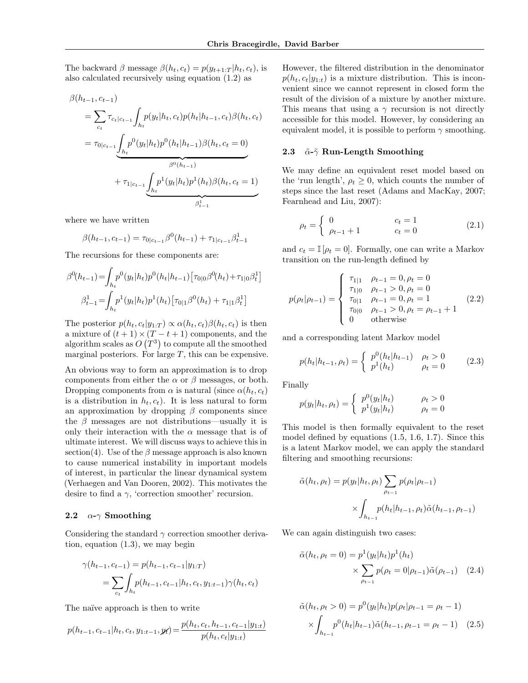The backward  $\beta$  message  $\beta(h_t, c_t) = p(y_{t+1:T} | h_t, c_t)$ , is also calculated recursively using equation (1.2) as

$$
\beta(h_{t-1}, c_{t-1})
$$
\n
$$
= \sum_{c_t} \tau_{c_t|c_{t-1}} \int_{h_t} p(y_t|h_t, c_t) p(h_t|h_{t-1}, c_t) \beta(h_t, c_t)
$$
\n
$$
= \tau_{0|c_{t-1}} \underbrace{\int_{h_t} p^0(y_t|h_t) p^0(h_t|h_{t-1}) \beta(h_t, c_t = 0)}_{\beta^0(h_{t-1})}
$$
\n
$$
+ \tau_{1|c_{t-1}} \underbrace{\int_{h_t} p^1(y_t|h_t) p^1(h_t) \beta(h_t, c_t = 1)}_{\beta^1_{t-1}}
$$

where we have written

$$
\beta(h_{t-1}, c_{t-1}) = \tau_{0|c_{t-1}}\beta^{0}(h_{t-1}) + \tau_{1|c_{t-1}}\beta^{1}_{t-1}
$$

The recursions for these components are:

$$
\beta^{0}(h_{t-1}) = \int_{h_t} p^{0}(y_t|h_t) p^{0}(h_t|h_{t-1}) \left[\tau_{0|0} \beta^{0}(h_t) + \tau_{1|0} \beta_t^{1}\right]
$$

$$
\beta_{t-1}^{1} = \int_{h_t} p^{1}(y_t|h_t) p^{1}(h_t) \left[\tau_{0|1} \beta^{0}(h_t) + \tau_{1|1} \beta_t^{1}\right]
$$

The posterior  $p(h_t, c_t|y_{1:T}) \propto \alpha(h_t, c_t) \beta(h_t, c_t)$  is then a mixture of  $(t + 1) \times (T - t + 1)$  components, and the algorithm scales as  $O(T^3)$  to compute all the smoothed marginal posteriors. For large  $T$ , this can be expensive.

An obvious way to form an approximation is to drop components from either the  $\alpha$  or  $\beta$  messages, or both. Dropping components from  $\alpha$  is natural (since  $\alpha(h_t, c_t)$ ) is a distribution in  $h_t, c_t$ ). It is less natural to form an approximation by dropping  $\beta$  components since the  $\beta$  messages are not distributions—usually it is only their interaction with the  $\alpha$  message that is of ultimate interest. We will discuss ways to achieve this in section(4). Use of the  $\beta$  message approach is also known to cause numerical instability in important models of interest, in particular the linear dynamical system (Verhaegen and Van Dooren, 2002). This motivates the desire to find a  $\gamma$ , 'correction smoother' recursion.

## 2.2  $\alpha$ -γ Smoothing

Considering the standard  $\gamma$  correction smoother derivation, equation (1.3), we may begin

$$
\gamma(h_{t-1}, c_{t-1}) = p(h_{t-1}, c_{t-1}|y_{1:T})
$$
  
= 
$$
\sum_{c_t} \int_{h_t} p(h_{t-1}, c_{t-1}|h_t, c_t, y_{1:t-1}) \gamma(h_t, c_t)
$$

The naïve approach is then to write

$$
p(h_{t-1}, c_{t-1}|h_t, c_t, y_{1:t-1}, y_t) = \frac{p(h_t, c_t, h_{t-1}, c_{t-1}|y_{1:t})}{p(h_t, c_t|y_{1:t})}
$$

However, the filtered distribution in the denominator  $p(h_t, c_t|y_{1:t})$  is a mixture distribution. This is inconvenient since we cannot represent in closed form the result of the division of a mixture by another mixture. This means that using a  $\gamma$  recursion is not directly accessible for this model. However, by considering an equivalent model, it is possible to perform  $\gamma$  smoothing.

## 2.3  $\tilde{\alpha}$ - $\tilde{\gamma}$  Run-Length Smoothing

We may define an equivalent reset model based on the 'run length',  $\rho_t \geq 0$ , which counts the number of steps since the last reset (Adams and MacKay, 2007; Fearnhead and Liu, 2007):

$$
\rho_t = \begin{cases} 0 & c_t = 1 \\ \rho_{t-1} + 1 & c_t = 0 \end{cases}
$$
 (2.1)

and  $c_t = \mathbb{I}[\rho_t = 0]$ . Formally, one can write a Markov transition on the run-length defined by

$$
p(\rho_t|\rho_{t-1}) = \begin{cases} \tau_{1|1} & \rho_{t-1} = 0, \rho_t = 0\\ \tau_{1|0} & \rho_{t-1} > 0, \rho_t = 0\\ \tau_{0|1} & \rho_{t-1} = 0, \rho_t = 1\\ \tau_{0|0} & \rho_{t-1} > 0, \rho_t = \rho_{t-1} + 1\\ 0 & \text{otherwise} \end{cases} (2.2)
$$

and a corresponding latent Markov model

$$
p(h_t|h_{t-1}, \rho_t) = \begin{cases} p^0(h_t|h_{t-1}) & \rho_t > 0\\ p^1(h_t) & \rho_t = 0 \end{cases}
$$
 (2.3)

Finally

$$
p(y_t|h_t, \rho_t) = \begin{cases} p^0(y_t|h_t) & \rho_t > 0\\ p^1(y_t|h_t) & \rho_t = 0 \end{cases}
$$

This model is then formally equivalent to the reset model defined by equations (1.5, 1.6, 1.7). Since this is a latent Markov model, we can apply the standard filtering and smoothing recursions:

$$
\tilde{\alpha}(h_t, \rho_t) = p(y_t | h_t, \rho_t) \sum_{\rho_{t-1}} p(\rho_t | \rho_{t-1})
$$

$$
\times \int_{h_{t-1}} p(h_t | h_{t-1}, \rho_t) \tilde{\alpha}(h_{t-1}, \rho_{t-1})
$$

We can again distinguish two cases:

$$
\tilde{\alpha}(h_t, \rho_t = 0) = p^1(y_t|h_t)p^1(h_t) \times \sum_{\rho_{t-1}} p(\rho_t = 0|\rho_{t-1})\tilde{\alpha}(\rho_{t-1})
$$
 (2.4)

$$
\tilde{\alpha}(h_t, \rho_t > 0) = p^0(y_t | h_t) p(\rho_t | \rho_{t-1} = \rho_t - 1) \times \int_{h_{t-1}} p^0(h_t | h_{t-1}) \tilde{\alpha}(h_{t-1}, \rho_{t-1} = \rho_t - 1) \quad (2.5)
$$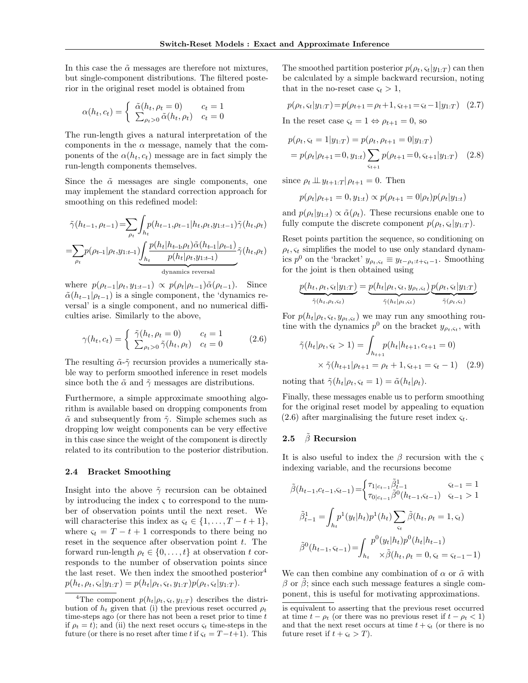In this case the  $\tilde{\alpha}$  messages are therefore not mixtures, but single-component distributions. The filtered posterior in the original reset model is obtained from

$$
\alpha(h_t, c_t) = \begin{cases} \n\tilde{\alpha}(h_t, \rho_t = 0) & c_t = 1 \\ \n\sum_{\rho_t > 0} \tilde{\alpha}(h_t, \rho_t) & c_t = 0 \n\end{cases}
$$

The run-length gives a natural interpretation of the components in the  $\alpha$  message, namely that the components of the  $\alpha(h_t, c_t)$  message are in fact simply the run-length components themselves.

Since the  $\tilde{\alpha}$  messages are single components, one may implement the standard correction approach for smoothing on this redefined model:

$$
\tilde{\gamma}(h_{t-1}, \rho_{t-1}) = \sum_{\rho_t} \int_{h_t} p(h_{t-1}, \rho_{t-1}|h_t, \rho_t, y_{1:t-1}) \tilde{\gamma}(h_t, \rho_t)
$$

$$
= \sum_{\rho_t} p(\rho_{t-1}|\rho_t, y_{1:t-1}) \underbrace{\int_{h_t} \frac{p(h_t|h_{t-1}, \rho_t) \tilde{\alpha}(h_{t-1}|\rho_{t-1})}{p(h_t|\rho_t, y_{1:t-1})} \tilde{\gamma}(h_t, \rho_t)}_{\text{dynamics reversal}}
$$

where  $p(\rho_{t-1}|\rho_t, y_{1:t-1}) \propto p(\rho_t|\rho_{t-1})\tilde{\alpha}(\rho_{t-1}).$  Since  $\tilde{\alpha}(h_{t-1}|\rho_{t-1})$  is a single component, the 'dynamics reversal' is a single component, and no numerical difficulties arise. Similarly to the above,

$$
\gamma(h_t, c_t) = \begin{cases} \tilde{\gamma}(h_t, \rho_t = 0) & c_t = 1\\ \sum_{\rho_t > 0} \tilde{\gamma}(h_t, \rho_t) & c_t = 0 \end{cases}
$$
 (2.6)

The resulting  $\tilde{\alpha}$ -γ̃ recursion provides a numerically stable way to perform smoothed inference in reset models since both the  $\tilde{\alpha}$  and  $\tilde{\gamma}$  messages are distributions.

Furthermore, a simple approximate smoothing algorithm is available based on dropping components from  $\tilde{\alpha}$  and subsequently from  $\tilde{\gamma}$ . Simple schemes such as dropping low weight components can be very effective in this case since the weight of the component is directly related to its contribution to the posterior distribution.

## 2.4 Bracket Smoothing

Insight into the above  $\tilde{\gamma}$  recursion can be obtained by introducing the index  $\zeta$  to correspond to the number of observation points until the next reset. We will characterise this index as  $\varsigma_t \in \{1, \ldots, T - t + 1\},\$ where  $\varsigma_t = T - t + 1$  corresponds to there being no reset in the sequence after observation point  $t$ . The forward run-length  $\rho_t \in \{0, \ldots, t\}$  at observation t corresponds to the number of observation points since the last reset. We then index the smoothed posterior<sup>4</sup>  $p(h_t, \rho_t, \varsigma_t | y_{1:T}) = p(h_t | \rho_t, \varsigma_t, y_{1:T}) p(\rho_t, \varsigma_t | y_{1:T}).$ 

The smoothed partition posterior  $p(\rho_t, \varsigma_t | y_{1:T})$  can then be calculated by a simple backward recursion, noting that in the no-reset case  $\varsigma_t > 1$ ,

$$
p(\rho_t, \varsigma_t | y_{1:T}) = p(\rho_{t+1} = \rho_t + 1, \varsigma_{t+1} = \varsigma_t - 1 | y_{1:T}) \quad (2.7)
$$

In the reset case  $\varsigma_t = 1 \Leftrightarrow \rho_{t+1} = 0$ , so

$$
p(\rho_t, \varsigma_t = 1 | y_{1:T}) = p(\rho_t, \rho_{t+1} = 0 | y_{1:T})
$$
  
=  $p(\rho_t | \rho_{t+1} = 0, y_{1:t}) \sum_{\varsigma_{t+1}} p(\rho_{t+1} = 0, \varsigma_{t+1} | y_{1:T})$  (2.8)

since  $\rho_t \perp \!\!\! \perp y_{t+1:T}$   $\rho_{t+1} = 0$ . Then

$$
p(\rho_t|\rho_{t+1}=0, y_{1:t}) \propto p(\rho_{t+1}=0|\rho_t)p(\rho_t|y_{1:t})
$$

and  $p(\rho_t|y_{1:t}) \propto \tilde{\alpha}(\rho_t)$ . These recursions enable one to fully compute the discrete component  $p(\rho_t, \varsigma_t|y_{1:T})$ .

Reset points partition the sequence, so conditioning on  $\rho_t$ ,  $\varsigma_t$  simplifies the model to use only standard dynamics  $p^0$  on the 'bracket'  $y_{\rho_t,s_t} \equiv y_{t-\rho_t:t+s_t-1}$ . Smoothing for the joint is then obtained using

$$
\underbrace{p(h_t, \rho_t, \varsigma_t | y_{1:T})}_{\tilde{\gamma}(h_t, \rho_t, \varsigma_t)} = \underbrace{p(h_t | \rho_t, \varsigma_t, y_{\rho_t, \varsigma_t})}_{\tilde{\gamma}(h_t | \rho_t, \varsigma_t)} \underbrace{p(\rho_t, \varsigma_t | y_{1:T})}_{\tilde{\gamma}(\rho_t, \varsigma_t)}
$$

For  $p(h_t|\rho_t, \varsigma_t, y_{\rho_t, \varsigma_t})$  we may run any smoothing routine with the dynamics  $p^0$  on the bracket  $y_{\rho_t,s_t}$ , with

$$
\tilde{\gamma}(h_t|\rho_t, \varsigma_t > 1) = \int_{h_{t+1}} p(h_t|h_{t+1}, c_{t+1} = 0)
$$
  
 
$$
\times \tilde{\gamma}(h_{t+1}|\rho_{t+1} = \rho_t + 1, \varsigma_{t+1} = \varsigma_t - 1) \quad (2.9)
$$

noting that  $\tilde{\gamma}(h_t|\rho_t, \varsigma_t = 1) = \tilde{\alpha}(h_t|\rho_t)$ .

Finally, these messages enable us to perform smoothing for the original reset model by appealing to equation  $(2.6)$  after marginalising the future reset index  $\zeta_t$ .

## 2.5  $\beta$  Recursion

It is also useful to index the  $\beta$  recursion with the  $\varsigma$ indexing variable, and the recursions become

$$
\tilde{\beta}(h_{t-1}, c_{t-1}, \varsigma_{t-1}) = \begin{cases}\n\tau_{1|c_{t-1}} \tilde{\beta}_{t-1}^1 & \varsigma_{t-1} = 1 \\
\tau_{0|c_{t-1}} \tilde{\beta}^0(h_{t-1}, \varsigma_{t-1}) & \varsigma_{t-1} > 1\n\end{cases}
$$
\n
$$
\tilde{\beta}_{t-1}^1 = \int_{h_t} p^1(y_t|h_t) p^1(h_t) \sum_{\varsigma_t} \tilde{\beta}(h_t, \rho_t = 1, \varsigma_t)
$$
\n
$$
\tilde{\beta}^0(h_{t-1}, \varsigma_{t-1}) = \int_{h_t} p^0(y_t|h_t) p^0(h_t|h_{t-1})
$$
\n
$$
\tilde{\beta}(h_t, \rho_t = 0, \varsigma_t = \varsigma_{t-1} - 1)
$$

We can then combine any combination of  $\alpha$  or  $\tilde{\alpha}$  with  $\beta$  or  $\beta$ ; since each such message features a single component, this is useful for motivating approximations.

<sup>&</sup>lt;sup>4</sup>The component  $p(h_t|\rho_t, \varsigma_t, y_{1:T})$  describes the distribution of  $h_t$  given that (i) the previous reset occurred  $\rho_t$ time-steps ago (or there has not been a reset prior to time  $t$ if  $\rho_t = t$ ); and (ii) the next reset occurs  $\varsigma_t$  time-steps in the future (or there is no reset after time t if  $\varsigma_t = T - t + 1$ ). This

is equivalent to asserting that the previous reset occurred at time  $t - \rho_t$  (or there was no previous reset if  $t - \rho_t < 1$ ) and that the next reset occurs at time  $t + \varsigma_t$  (or there is no future reset if  $t + \varsigma_t > T$ ).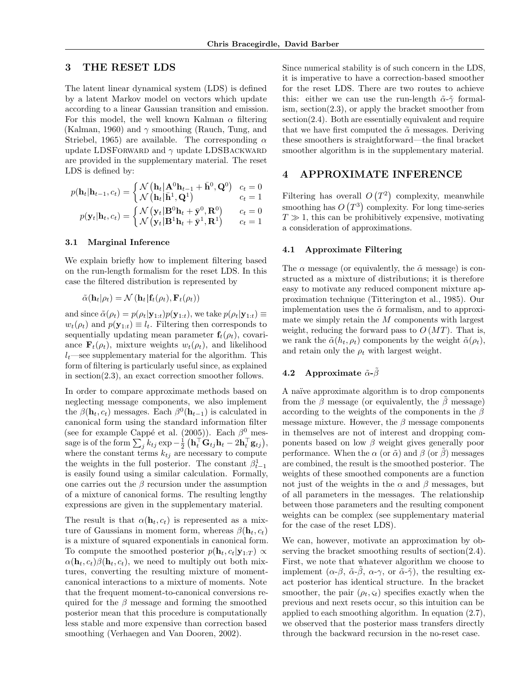## 3 THE RESET LDS

The latent linear dynamical system (LDS) is defined by a latent Markov model on vectors which update according to a linear Gaussian transition and emission. For this model, the well known Kalman  $\alpha$  filtering (Kalman, 1960) and  $\gamma$  smoothing (Rauch, Tung, and Striebel, 1965) are available. The corresponding  $\alpha$ update LDSFORWARD and  $\gamma$  update LDSBACKWARD are provided in the supplementary material. The reset LDS is defined by:

$$
p(\mathbf{h}_t | \mathbf{h}_{t-1}, c_t) = \begin{cases} \mathcal{N}(\mathbf{h}_t | \mathbf{A}^0 \mathbf{h}_{t-1} + \bar{\mathbf{h}}^0, \mathbf{Q}^0) & c_t = 0\\ \mathcal{N}(\mathbf{h}_t | \bar{\mathbf{h}}^1, \mathbf{Q}^1) & c_t = 1\\ p(\mathbf{y}_t | \mathbf{h}_t, c_t) = \begin{cases} \mathcal{N}(\mathbf{y}_t | \mathbf{B}^0 \mathbf{h}_t + \bar{\mathbf{y}}^0, \mathbf{R}^0) & c_t = 0\\ \mathcal{N}(\mathbf{y}_t | \mathbf{B}^1 \mathbf{h}_t + \bar{\mathbf{y}}^1, \mathbf{R}^1) & c_t = 1 \end{cases}
$$

## 3.1 Marginal Inference

We explain briefly how to implement filtering based on the run-length formalism for the reset LDS. In this case the filtered distribution is represented by

$$
\tilde{\alpha}(\mathbf{h}_t|\rho_t) = \mathcal{N}(\mathbf{h}_t|\mathbf{f}_t(\rho_t), \mathbf{F}_t(\rho_t))
$$

and since  $\tilde{\alpha}(\rho_t) = p(\rho_t|\mathbf{y}_{1:t})p(\mathbf{y}_{1:t}),$  we take  $p(\rho_t|\mathbf{y}_{1:t}) \equiv$  $w_t(\rho_t)$  and  $p(\mathbf{y}_{1:t}) \equiv l_t$ . Filtering then corresponds to sequentially updating mean parameter  $f_t(\rho_t)$ , covariance  $\mathbf{F}_t(\rho_t)$ , mixture weights  $w_t(\rho_t)$ , and likelihood  $l_t$ —see supplementary material for the algorithm. This form of filtering is particularly useful since, as explained in section(2.3), an exact correction smoother follows.

In order to compare approximate methods based on neglecting message components, we also implement the  $\beta(\mathbf{h}_t, c_t)$  messages. Each  $\beta^0(\mathbf{h}_{t-1})$  is calculated in canonical form using the standard information filter (see for example Cappé et al. (2005)). Each  $\beta^0$  message is of the form  $\sum_j k_{tj} \exp{-\frac{1}{2} \left( \mathbf{h}_t^{\top} \mathbf{G}_{tj} \mathbf{h}_t - 2 \mathbf{h}_t^{\top} \mathbf{g}_{tj} \right)},$ where the constant terms  $k_{tj}$  are necessary to compute the weights in the full posterior. The constant  $\beta_{t-1}^1$ is easily found using a similar calculation. Formally, one carries out the  $\beta$  recursion under the assumption of a mixture of canonical forms. The resulting lengthy expressions are given in the supplementary material.

The result is that  $\alpha(\mathbf{h}_t, c_t)$  is represented as a mixture of Gaussians in moment form, whereas  $\beta(\mathbf{h}_t, c_t)$ is a mixture of squared exponentials in canonical form. To compute the smoothed posterior  $p(\mathbf{h}_t, c_t|\mathbf{y}_{1:T}) \propto$  $\alpha(\mathbf{h}_t, c_t) \beta(\mathbf{h}_t, c_t)$ , we need to multiply out both mixtures, converting the resulting mixture of momentcanonical interactions to a mixture of moments. Note that the frequent moment-to-canonical conversions required for the  $\beta$  message and forming the smoothed posterior mean that this procedure is computationally less stable and more expensive than correction based smoothing (Verhaegen and Van Dooren, 2002).

Since numerical stability is of such concern in the LDS, it is imperative to have a correction-based smoother for the reset LDS. There are two routes to achieve this: either we can use the run-length  $\tilde{\alpha}$ - $\tilde{\gamma}$  formalism, section(2.3), or apply the bracket smoother from section(2.4). Both are essentially equivalent and require that we have first computed the  $\tilde{\alpha}$  messages. Deriving these smoothers is straightforward—the final bracket smoother algorithm is in the supplementary material.

## 4 APPROXIMATE INFERENCE

Filtering has overall  $O(T^2)$  complexity, meanwhile smoothing has  $O(T^3)$  complexity. For long time-series  $T \gg 1$ , this can be prohibitively expensive, motivating a consideration of approximations.

### 4.1 Approximate Filtering

The  $\alpha$  message (or equivalently, the  $\tilde{\alpha}$  message) is constructed as a mixture of distributions; it is therefore easy to motivate any reduced component mixture approximation technique (Titterington et al., 1985). Our implementation uses the  $\tilde{\alpha}$  formalism, and to approximate we simply retain the M components with largest weight, reducing the forward pass to  $O(MT)$ . That is, we rank the  $\tilde{\alpha}(h_t, \rho_t)$  components by the weight  $\tilde{\alpha}(\rho_t)$ , and retain only the  $\rho_t$  with largest weight.

## 4.2 Approximate  $\tilde{\alpha}$ - $\tilde{\beta}$

A naïve approximate algorithm is to drop components from the  $\beta$  message (or equivalently, the  $\beta$  message) according to the weights of the components in the  $\beta$ message mixture. However, the  $\beta$  message components in themselves are not of interest and dropping components based on low  $\beta$  weight gives generally poor performance. When the  $\alpha$  (or  $\tilde{\alpha}$ ) and  $\beta$  (or  $\beta$ ) messages are combined, the result is the smoothed posterior. The weights of these smoothed components are a function not just of the weights in the  $\alpha$  and  $\beta$  messages, but of all parameters in the messages. The relationship between those parameters and the resulting component weights can be complex (see supplementary material for the case of the reset LDS).

We can, however, motivate an approximation by observing the bracket smoothing results of section(2.4). First, we note that whatever algorithm we choose to implement  $(\alpha-\beta, \tilde{\alpha}-\tilde{\beta}, \alpha-\gamma, \text{ or } \tilde{\alpha}-\tilde{\gamma})$ , the resulting exact posterior has identical structure. In the bracket smoother, the pair  $(\rho_t, \varsigma_t)$  specifies exactly when the previous and next resets occur, so this intuition can be applied to each smoothing algorithm. In equation (2.7), we observed that the posterior mass transfers directly through the backward recursion in the no-reset case.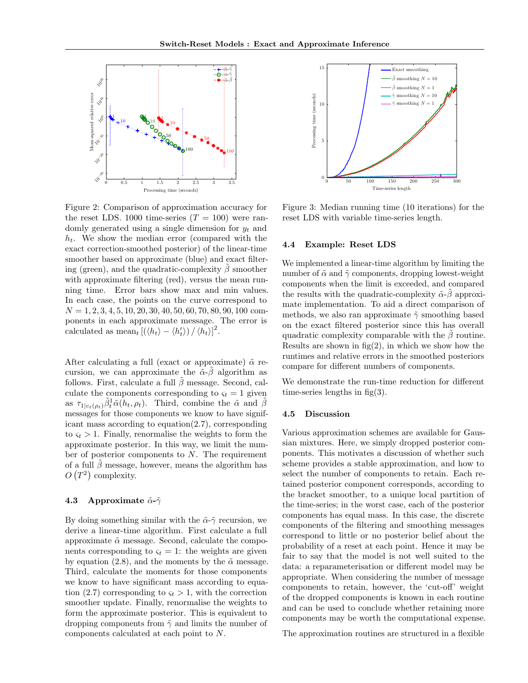

Figure 2: Comparison of approximation accuracy for the reset LDS. 1000 time-series  $(T = 100)$  were randomly generated using a single dimension for  $y_t$  and  $h_t$ . We show the median error (compared with the exact correction-smoothed posterior) of the linear-time smoother based on approximate (blue) and exact filtering (green), and the quadratic-complexity  $\tilde{\beta}$  smoother with approximate filtering (red), versus the mean running time. Error bars show max and min values. In each case, the points on the curve correspond to  $N = 1, 2, 3, 4, 5, 10, 20, 30, 40, 50, 60, 70, 80, 90, 100$  components in each approximate message. The error is calculated as  $\text{mean}_t \left[ \left( \langle h_t \rangle - \langle h_t' \rangle \right) / \langle h_t \rangle \right]^2$ .

After calculating a full (exact or approximate)  $\tilde{\alpha}$  recursion, we can approximate the  $\tilde{\alpha}$ - $\beta$  algorithm as follows. First, calculate a full  $\beta$  message. Second, calculate the components corresponding to  $\varsigma_t = 1$  given as  $\tau_{1|c_t(\rho_t)}\tilde{\beta}_t^1\tilde{\alpha}(h_t,\rho_t)$ . Third, combine the  $\tilde{\alpha}$  and  $\tilde{\beta}$ messages for those components we know to have significant mass according to equation(2.7), corresponding to  $\varsigma_t > 1$ . Finally, renormalise the weights to form the approximate posterior. In this way, we limit the number of posterior components to  $N$ . The requirement of a full  $\hat{\beta}$  message, however, means the algorithm has  $O(T^2)$  complexity.

#### 4.3 Approximate  $\tilde{\alpha}$ - $\tilde{\gamma}$

By doing something similar with the  $\tilde{\alpha}$ - $\tilde{\gamma}$  recursion, we derive a linear-time algorithm. First calculate a full approximate  $\tilde{\alpha}$  message. Second, calculate the components corresponding to  $\varsigma_t = 1$ : the weights are given by equation (2.8), and the moments by the  $\tilde{\alpha}$  message. Third, calculate the moments for those components we know to have significant mass according to equation (2.7) corresponding to  $\varsigma_t > 1$ , with the correction smoother update. Finally, renormalise the weights to form the approximate posterior. This is equivalent to dropping components from  $\tilde{\gamma}$  and limits the number of components calculated at each point to N.



Figure 3: Median running time (10 iterations) for the reset LDS with variable time-series length.

#### 4.4 Example: Reset LDS

We implemented a linear-time algorithm by limiting the number of  $\tilde{\alpha}$  and  $\tilde{\gamma}$  components, dropping lowest-weight components when the limit is exceeded, and compared the results with the quadratic-complexity  $\tilde{\alpha}$ - $\beta$  approximate implementation. To aid a direct comparison of methods, we also ran approximate  $\tilde{\gamma}$  smoothing based on the exact filtered posterior since this has overall quadratic complexity comparable with the  $\beta$  routine. Results are shown in  $fig(2)$ , in which we show how the runtimes and relative errors in the smoothed posteriors compare for different numbers of components.

We demonstrate the run-time reduction for different time-series lengths in  $fig(3)$ .

### 4.5 Discussion

Various approximation schemes are available for Gaussian mixtures. Here, we simply dropped posterior components. This motivates a discussion of whether such scheme provides a stable approximation, and how to select the number of components to retain. Each retained posterior component corresponds, according to the bracket smoother, to a unique local partition of the time-series; in the worst case, each of the posterior components has equal mass. In this case, the discrete components of the filtering and smoothing messages correspond to little or no posterior belief about the probability of a reset at each point. Hence it may be fair to say that the model is not well suited to the data: a reparameterisation or different model may be appropriate. When considering the number of message components to retain, however, the 'cut-off' weight of the dropped components is known in each routine and can be used to conclude whether retaining more components may be worth the computational expense.

The approximation routines are structured in a flexible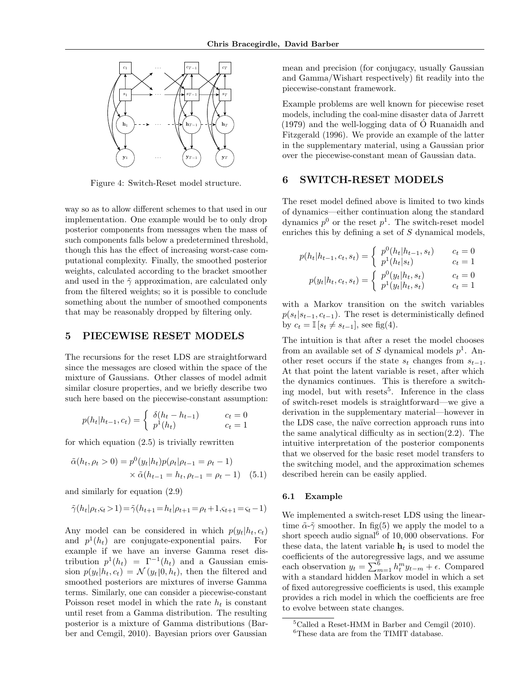

Figure 4: Switch-Reset model structure.

way so as to allow different schemes to that used in our implementation. One example would be to only drop posterior components from messages when the mass of such components falls below a predetermined threshold, though this has the effect of increasing worst-case computational complexity. Finally, the smoothed posterior weights, calculated according to the bracket smoother and used in the  $\tilde{\gamma}$  approximation, are calculated only from the filtered weights; so it is possible to conclude something about the number of smoothed components that may be reasonably dropped by filtering only.

## 5 PIECEWISE RESET MODELS

The recursions for the reset LDS are straightforward since the messages are closed within the space of the mixture of Gaussians. Other classes of model admit similar closure properties, and we briefly describe two such here based on the piecewise-constant assumption:

$$
p(h_t|h_{t-1}, c_t) = \begin{cases} \delta(h_t - h_{t-1}) & c_t = 0\\ p^1(h_t) & c_t = 1 \end{cases}
$$

for which equation  $(2.5)$  is trivially rewritten

$$
\tilde{\alpha}(h_t, \rho_t > 0) = p^0(y_t | h_t) p(\rho_t | \rho_{t-1} = \rho_t - 1) \times \tilde{\alpha}(h_{t-1} = h_t, \rho_{t-1} = \rho_t - 1)
$$
(5.1)

and similarly for equation (2.9)

$$
\tilde{\gamma}(h_t|\rho_t,\varsigma_t>1) = \tilde{\gamma}(h_{t+1}=h_t|\rho_{t+1}=\rho_t+1,\varsigma_{t+1}=\varsigma_t-1)
$$

Any model can be considered in which  $p(y_t|h_t, c_t)$ <br>and  $p^1(h_t)$  are conjugate-exponential pairs. For and  $p^1(h_t)$  are conjugate-exponential pairs. For example if we have an inverse Gamma reset distribution  $p^1(h_t) = \Gamma^{-1}(h_t)$  and a Gaussian emission  $p(y_t|h_t, c_t) = \mathcal{N}(y_t|0, h_t)$ , then the filtered and smoothed posteriors are mixtures of inverse Gamma terms. Similarly, one can consider a piecewise-constant Poisson reset model in which the rate  $h_t$  is constant until reset from a Gamma distribution. The resulting posterior is a mixture of Gamma distributions (Barber and Cemgil, 2010). Bayesian priors over Gaussian

mean and precision (for conjugacy, usually Gaussian and Gamma/Wishart respectively) fit readily into the piecewise-constant framework.

Example problems are well known for piecewise reset models, including the coal-mine disaster data of Jarrett  $(1979)$  and the well-logging data of  $\dot{\text{O}}$  Ruanaidh and Fitzgerald (1996). We provide an example of the latter in the supplementary material, using a Gaussian prior over the piecewise-constant mean of Gaussian data.

## 6 SWITCH-RESET MODELS

The reset model defined above is limited to two kinds of dynamics—either continuation along the standard dynamics  $p^0$  or the reset  $p^1$ . The switch-reset model enriches this by defining a set of S dynamical models,

$$
p(h_t|h_{t-1}, c_t, s_t) = \begin{cases} p^0(h_t|h_{t-1}, s_t) & c_t = 0\\ p^1(h_t|s_t) & c_t = 1 \end{cases}
$$

$$
p(y_t|h_t, c_t, s_t) = \begin{cases} p^0(y_t|h_t, s_t) & c_t = 0\\ p^1(y_t|h_t, s_t) & c_t = 1 \end{cases}
$$

with a Markov transition on the switch variables  $p(s_t|s_{t-1}, c_{t-1})$ . The reset is deterministically defined by  $c_t = \mathbb{I}[s_t \neq s_{t-1}],$  see fig(4).

The intuition is that after a reset the model chooses from an available set of S dynamical models  $p^1$ . Another reset occurs if the state  $s_t$  changes from  $s_{t-1}$ . At that point the latent variable is reset, after which the dynamics continues. This is therefore a switching model, but with resets<sup>5</sup>. Inference in the class of switch-reset models is straightforward—we give a derivation in the supplementary material—however in the LDS case, the naïve correction approach runs into the same analytical difficulty as in section(2.2). The intuitive interpretation of the posterior components that we observed for the basic reset model transfers to the switching model, and the approximation schemes described herein can be easily applied.

## 6.1 Example

We implemented a switch-reset LDS using the lineartime  $\tilde{\alpha}$ - $\tilde{\gamma}$  smoother. In fig(5) we apply the model to a short speech audio signal $6$  of 10,000 observations. For these data, the latent variable  $h_t$  is used to model the coefficients of the autoregressive lags, and we assume each observation  $y_t = \sum_{m=1}^6 h_t^m y_{t-m} + \epsilon$ . Compared with a standard hidden Markov model in which a set of fixed autoregressive coefficients is used, this example provides a rich model in which the coefficients are free to evolve between state changes.

 ${}^{5}$ Called a Reset-HMM in Barber and Cemgil (2010). <sup>6</sup>These data are from the TIMIT database.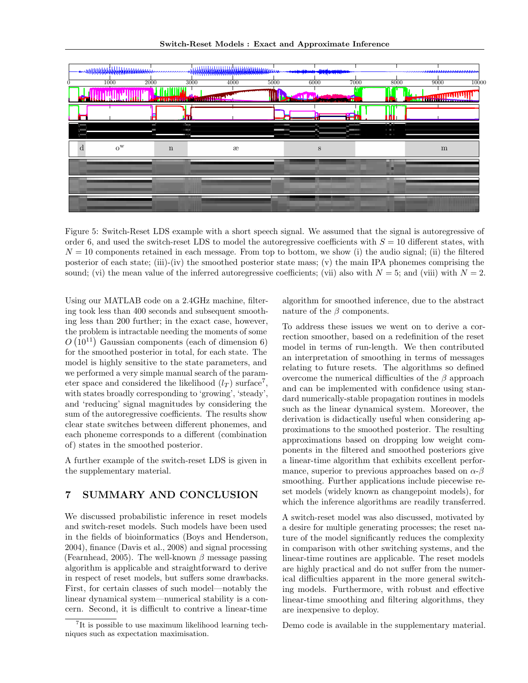

Figure 5: Switch-Reset LDS example with a short speech signal. We assumed that the signal is autoregressive of order 6, and used the switch-reset LDS to model the autoregressive coefficients with  $S = 10$  different states, with  $N = 10$  components retained in each message. From top to bottom, we show (i) the audio signal; (ii) the filtered posterior of each state; (iii)-(iv) the smoothed posterior state mass; (v) the main IPA phonemes comprising the sound; (vi) the mean value of the inferred autoregressive coefficients; (vii) also with  $N = 5$ ; and (viii) with  $N = 2$ .

Using our MATLAB code on a 2.4GHz machine, filtering took less than 400 seconds and subsequent smoothing less than 200 further; in the exact case, however, the problem is intractable needing the moments of some  $O(10^{11})$  Gaussian components (each of dimension 6) for the smoothed posterior in total, for each state. The model is highly sensitive to the state parameters, and we performed a very simple manual search of the parameter space and considered the likelihood  $(l_T)$  surface<sup>7</sup>, with states broadly corresponding to 'growing', 'steady', and 'reducing' signal magnitudes by considering the sum of the autoregressive coefficients. The results show clear state switches between different phonemes, and each phoneme corresponds to a different (combination of) states in the smoothed posterior.

A further example of the switch-reset LDS is given in the supplementary material.

## 7 SUMMARY AND CONCLUSION

We discussed probabilistic inference in reset models and switch-reset models. Such models have been used in the fields of bioinformatics (Boys and Henderson, 2004), finance (Davis et al., 2008) and signal processing (Fearnhead, 2005). The well-known  $\beta$  message passing algorithm is applicable and straightforward to derive in respect of reset models, but suffers some drawbacks. First, for certain classes of such model—notably the linear dynamical system—numerical stability is a concern. Second, it is difficult to contrive a linear-time algorithm for smoothed inference, due to the abstract nature of the  $\beta$  components.

To address these issues we went on to derive a correction smoother, based on a redefinition of the reset model in terms of run-length. We then contributed an interpretation of smoothing in terms of messages relating to future resets. The algorithms so defined overcome the numerical difficulties of the  $\beta$  approach and can be implemented with confidence using standard numerically-stable propagation routines in models such as the linear dynamical system. Moreover, the derivation is didactically useful when considering approximations to the smoothed posterior. The resulting approximations based on dropping low weight components in the filtered and smoothed posteriors give a linear-time algorithm that exhibits excellent performance, superior to previous approaches based on  $\alpha$ - $\beta$ smoothing. Further applications include piecewise reset models (widely known as changepoint models), for which the inference algorithms are readily transferred.

A switch-reset model was also discussed, motivated by a desire for multiple generating processes; the reset nature of the model significantly reduces the complexity in comparison with other switching systems, and the linear-time routines are applicable. The reset models are highly practical and do not suffer from the numerical difficulties apparent in the more general switching models. Furthermore, with robust and effective linear-time smoothing and filtering algorithms, they are inexpensive to deploy.

Demo code is available in the supplementary material.

<sup>7</sup> It is possible to use maximum likelihood learning techniques such as expectation maximisation.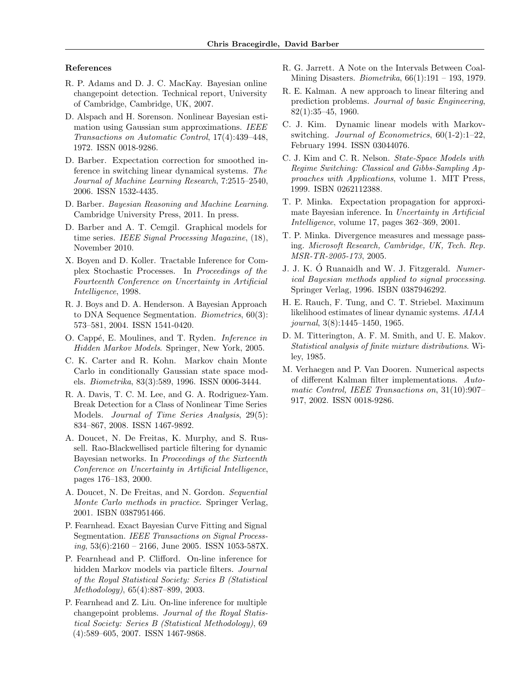#### References

- R. P. Adams and D. J. C. MacKay. Bayesian online changepoint detection. Technical report, University of Cambridge, Cambridge, UK, 2007.
- D. Alspach and H. Sorenson. Nonlinear Bayesian estimation using Gaussian sum approximations. IEEE Transactions on Automatic Control, 17(4):439–448, 1972. ISSN 0018-9286.
- D. Barber. Expectation correction for smoothed inference in switching linear dynamical systems. The Journal of Machine Learning Research, 7:2515–2540, 2006. ISSN 1532-4435.
- D. Barber. Bayesian Reasoning and Machine Learning. Cambridge University Press, 2011. In press.
- D. Barber and A. T. Cemgil. Graphical models for time series. IEEE Signal Processing Magazine, (18), November 2010.
- X. Boyen and D. Koller. Tractable Inference for Complex Stochastic Processes. In Proceedings of the Fourteenth Conference on Uncertainty in Artificial Intelligence, 1998.
- R. J. Boys and D. A. Henderson. A Bayesian Approach to DNA Sequence Segmentation. Biometrics, 60(3): 573–581, 2004. ISSN 1541-0420.
- O. Cappé, E. Moulines, and T. Ryden. *Inference in* Hidden Markov Models. Springer, New York, 2005.
- C. K. Carter and R. Kohn. Markov chain Monte Carlo in conditionally Gaussian state space models. Biometrika, 83(3):589, 1996. ISSN 0006-3444.
- R. A. Davis, T. C. M. Lee, and G. A. Rodriguez-Yam. Break Detection for a Class of Nonlinear Time Series Models. Journal of Time Series Analysis, 29(5): 834–867, 2008. ISSN 1467-9892.
- A. Doucet, N. De Freitas, K. Murphy, and S. Russell. Rao-Blackwellised particle filtering for dynamic Bayesian networks. In Proceedings of the Sixteenth Conference on Uncertainty in Artificial Intelligence, pages 176–183, 2000.
- A. Doucet, N. De Freitas, and N. Gordon. Sequential Monte Carlo methods in practice. Springer Verlag, 2001. ISBN 0387951466.
- P. Fearnhead. Exact Bayesian Curve Fitting and Signal Segmentation. IEEE Transactions on Signal Process $ing, 53(6):2160 - 2166$ , June 2005. ISSN 1053-587X.
- P. Fearnhead and P. Clifford. On-line inference for hidden Markov models via particle filters. Journal of the Royal Statistical Society: Series B (Statistical Methodology), 65(4):887–899, 2003.
- P. Fearnhead and Z. Liu. On-line inference for multiple changepoint problems. Journal of the Royal Statistical Society: Series B (Statistical Methodology), 69 (4):589–605, 2007. ISSN 1467-9868.
- R. G. Jarrett. A Note on the Intervals Between Coal-Mining Disasters. Biometrika, 66(1):191 – 193, 1979.
- R. E. Kalman. A new approach to linear filtering and prediction problems. Journal of basic Engineering, 82(1):35–45, 1960.
- C. J. Kim. Dynamic linear models with Markovswitching. Journal of Econometrics, 60(1-2):1–22, February 1994. ISSN 03044076.
- C. J. Kim and C. R. Nelson. State-Space Models with Regime Switching: Classical and Gibbs-Sampling Approaches with Applications, volume 1. MIT Press, 1999. ISBN 0262112388.
- T. P. Minka. Expectation propagation for approximate Bayesian inference. In Uncertainty in Artificial Intelligence, volume 17, pages 362–369, 2001.
- T. P. Minka. Divergence measures and message passing. Microsoft Research, Cambridge, UK, Tech. Rep. MSR-TR-2005-173, 2005.
- J. J. K. Ó Ruanaidh and W. J. Fitzgerald. Numerical Bayesian methods applied to signal processing. Springer Verlag, 1996. ISBN 0387946292.
- H. E. Rauch, F. Tung, and C. T. Striebel. Maximum likelihood estimates of linear dynamic systems. AIAA journal, 3(8):1445–1450, 1965.
- D. M. Titterington, A. F. M. Smith, and U. E. Makov. Statistical analysis of finite mixture distributions. Wiley, 1985.
- M. Verhaegen and P. Van Dooren. Numerical aspects of different Kalman filter implementations. Automatic Control, IEEE Transactions on, 31(10):907– 917, 2002. ISSN 0018-9286.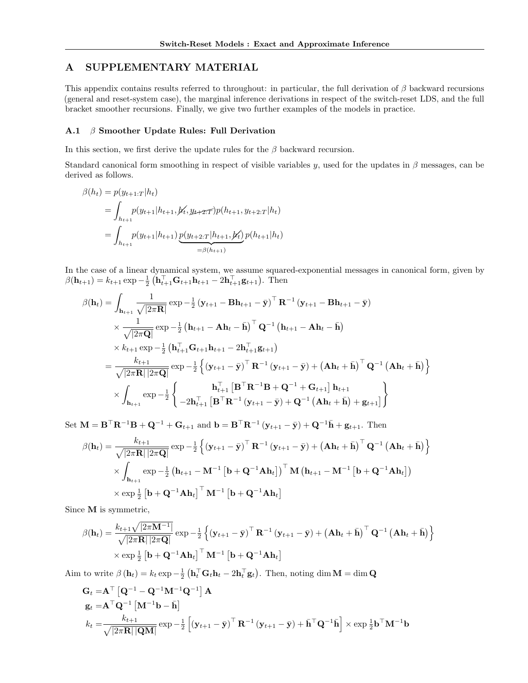## A SUPPLEMENTARY MATERIAL

This appendix contains results referred to throughout: in particular, the full derivation of  $\beta$  backward recursions (general and reset-system case), the marginal inference derivations in respect of the switch-reset LDS, and the full bracket smoother recursions. Finally, we give two further examples of the models in practice.

## A.1  $\beta$  Smoother Update Rules: Full Derivation

In this section, we first derive the update rules for the  $\beta$  backward recursion.

Standard canonical form smoothing in respect of visible variables y, used for the updates in  $\beta$  messages, can be derived as follows.

$$
\beta(h_t) = p(y_{t+1:T}|h_t)
$$
  
= 
$$
\int_{h_{t+1}} p(y_{t+1}|h_{t+1}, \cancel{y_t}, y_{t+2:T}) p(h_{t+1}, y_{t+2:T}|h_t)
$$
  
= 
$$
\int_{h_{t+1}} p(y_{t+1}|h_{t+1}) \underbrace{p(y_{t+2:T}|h_{t+1}, \cancel{y_t})}_{=\beta(h_{t+1})} p(h_{t+1}|h_t)
$$

In the case of a linear dynamical system, we assume squared-exponential messages in canonical form, given by  $\beta(\mathbf{h}_{t+1}) = k_{t+1} \exp{-\frac{1}{2} (\mathbf{h}_{t+1}^{\top} \mathbf{G}_{t+1} \mathbf{h}_{t+1} - 2\mathbf{h}_{t+1}^{\top} \mathbf{g}_{t+1})}.$  Then

$$
\beta(\mathbf{h}_{t}) = \int_{\mathbf{h}_{t+1}} \frac{1}{\sqrt{|2\pi \mathbf{R}|}} \exp{-\frac{1}{2} (\mathbf{y}_{t+1} - \mathbf{B}\mathbf{h}_{t+1} - \bar{\mathbf{y}})}^{\top} \mathbf{R}^{-1} (\mathbf{y}_{t+1} - \mathbf{B}\mathbf{h}_{t+1} - \bar{\mathbf{y}})
$$
\n
$$
\times \frac{1}{\sqrt{|2\pi \mathbf{Q}|}} \exp{-\frac{1}{2} (\mathbf{h}_{t+1} - \mathbf{A}\mathbf{h}_{t} - \bar{\mathbf{h}})}^{\top} \mathbf{Q}^{-1} (\mathbf{h}_{t+1} - \mathbf{A}\mathbf{h}_{t} - \bar{\mathbf{h}})
$$
\n
$$
\times k_{t+1} \exp{-\frac{1}{2} (\mathbf{h}_{t+1}^{\top} \mathbf{G}_{t+1} \mathbf{h}_{t+1} - 2\mathbf{h}_{t+1}^{\top} \mathbf{g}_{t+1})}
$$
\n
$$
= \frac{k_{t+1}}{\sqrt{|2\pi \mathbf{R}| |2\pi \mathbf{Q}|}} \exp{-\frac{1}{2} (\mathbf{y}_{t+1} - \bar{\mathbf{y}})^{\top} \mathbf{R}^{-1} (\mathbf{y}_{t+1} - \bar{\mathbf{y}}) + (\mathbf{A}\mathbf{h}_{t} + \bar{\mathbf{h}})^{\top} \mathbf{Q}^{-1} (\mathbf{A}\mathbf{h}_{t} + \bar{\mathbf{h}})} \}
$$
\n
$$
\times \int_{\mathbf{h}_{t+1}} \exp{-\frac{1}{2} (\mathbf{h}_{t+1}^{\top} [\mathbf{B}^{\top} \mathbf{R}^{-1} \mathbf{B} + \mathbf{Q}^{-1} + \mathbf{G}_{t+1}] \mathbf{h}_{t+1})}^{\top} \mathbf{g}_{t+1} \exp{-\frac{1}{2} (\mathbf{h}_{t+1}^{\top} \mathbf{B}^{-1} \mathbf{R}^{-1} (\mathbf{y}_{t+1} - \bar{\mathbf{y}}) + \mathbf{Q}^{-1} (\mathbf{A}\mathbf{h}_{t} + \bar{\mathbf{h}}) + \mathbf{g}_{t+1})}^{\top}
$$

Set  $\mathbf{M} = \mathbf{B}^{\top} \mathbf{R}^{-1} \mathbf{B} + \mathbf{Q}^{-1} + \mathbf{G}_{t+1}$  and  $\mathbf{b} = \mathbf{B}^{\top} \mathbf{R}^{-1} (\mathbf{y}_{t+1} - \bar{\mathbf{y}}) + \mathbf{Q}^{-1} \bar{\mathbf{h}} + \mathbf{g}_{t+1}$ . Then

$$
\beta(\mathbf{h}_{t}) = \frac{k_{t+1}}{\sqrt{|2\pi \mathbf{R}||2\pi \mathbf{Q}|}} \exp{-\frac{1}{2} \left\{ (\mathbf{y}_{t+1} - \bar{\mathbf{y}})^{\top} \mathbf{R}^{-1} (\mathbf{y}_{t+1} - \bar{\mathbf{y}}) + (\mathbf{A}\mathbf{h}_{t} + \bar{\mathbf{h}})^{\top} \mathbf{Q}^{-1} (\mathbf{A}\mathbf{h}_{t} + \bar{\mathbf{h}}) \right\}} \times \int_{\mathbf{h}_{t+1}} \exp{-\frac{1}{2} (\mathbf{h}_{t+1} - \mathbf{M}^{-1} [\mathbf{b} + \mathbf{Q}^{-1} \mathbf{A}\mathbf{h}_{t}])^{\top} \mathbf{M} (\mathbf{h}_{t+1} - \mathbf{M}^{-1} [\mathbf{b} + \mathbf{Q}^{-1} \mathbf{A}\mathbf{h}_{t}])} \times \exp{\frac{1}{2} [\mathbf{b} + \mathbf{Q}^{-1} \mathbf{A}\mathbf{h}_{t}]^{\top} \mathbf{M}^{-1} [\mathbf{b} + \mathbf{Q}^{-1} \mathbf{A}\mathbf{h}_{t}]}
$$

Since M is symmetric,

$$
\beta(\mathbf{h}_{t}) = \frac{k_{t+1}\sqrt{|2\pi \mathbf{M}^{-1}|}}{\sqrt{|2\pi \mathbf{R}||2\pi \mathbf{Q}|}} \exp{-\frac{1}{2} \left\{ (\mathbf{y}_{t+1} - \bar{\mathbf{y}})^{\top} \mathbf{R}^{-1} (\mathbf{y}_{t+1} - \bar{\mathbf{y}}) + (\mathbf{A}\mathbf{h}_{t} + \bar{\mathbf{h}})^{\top} \mathbf{Q}^{-1} (\mathbf{A}\mathbf{h}_{t} + \bar{\mathbf{h}}) \right\}} \times \exp{\frac{1}{2} [\mathbf{b} + \mathbf{Q}^{-1} \mathbf{A} \mathbf{h}_{t}]^{\top} \mathbf{M}^{-1} [\mathbf{b} + \mathbf{Q}^{-1} \mathbf{A} \mathbf{h}_{t}]}
$$

Aim to write  $\beta(\mathbf{h}_t) = k_t \exp{-\frac{1}{2} (\mathbf{h}_t^{\top} \mathbf{G}_t \mathbf{h}_t - 2\mathbf{h}_t^{\top} \mathbf{g}_t)}$ . Then, noting dim  $\mathbf{M} = \dim \mathbf{Q}$ 

$$
\mathbf{G}_{t} = \mathbf{A}^{\top} \left[ \mathbf{Q}^{-1} - \mathbf{Q}^{-1} \mathbf{M}^{-1} \mathbf{Q}^{-1} \right] \mathbf{A}
$$
\n
$$
\mathbf{g}_{t} = \mathbf{A}^{\top} \mathbf{Q}^{-1} \left[ \mathbf{M}^{-1} \mathbf{b} - \bar{\mathbf{h}} \right]
$$
\n
$$
k_{t} = \frac{k_{t+1}}{\sqrt{|2\pi \mathbf{R}| |\mathbf{Q} \mathbf{M}|}} \exp{-\frac{1}{2} \left[ \left( \mathbf{y}_{t+1} - \bar{\mathbf{y}} \right)^{\top} \mathbf{R}^{-1} \left( \mathbf{y}_{t+1} - \bar{\mathbf{y}} \right) + \bar{\mathbf{h}}^{\top} \mathbf{Q}^{-1} \bar{\mathbf{h}} \right] \times \exp{\frac{1}{2} \mathbf{b}^{\top} \mathbf{M}^{-1} \mathbf{b}}
$$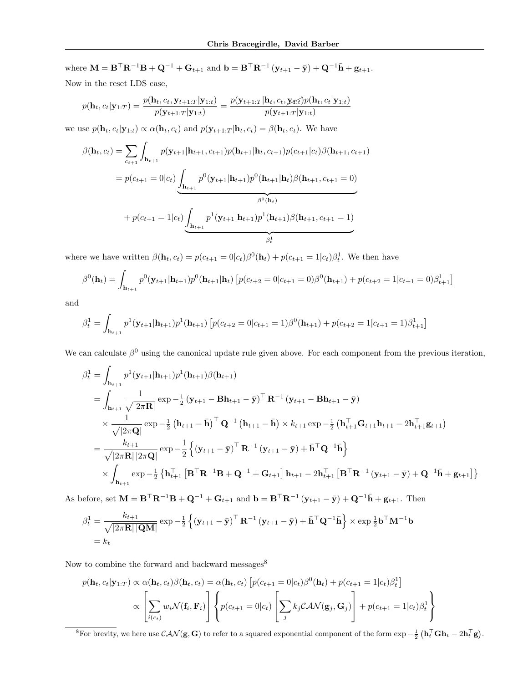where  $\mathbf{M} = \mathbf{B}^\top \mathbf{R}^{-1} \mathbf{B} + \mathbf{Q}^{-1} + \mathbf{G}_{t+1}$  and  $\mathbf{b} = \mathbf{B}^\top \mathbf{R}^{-1} (\mathbf{y}_{t+1} - \bar{\mathbf{y}}) + \mathbf{Q}^{-1} \bar{\mathbf{h}} + \mathbf{g}_{t+1}$ . Now in the reset LDS case,

$$
p(\mathbf{h}_t, c_t | \mathbf{y}_{1:T}) = \frac{p(\mathbf{h}_t, c_t, \mathbf{y}_{t+1:T} | \mathbf{y}_{1:t})}{p(\mathbf{y}_{t+1:T} | \mathbf{y}_{1:t})} = \frac{p(\mathbf{y}_{t+1:T} | \mathbf{h}_t, c_t, \mathbf{y}_{t:T}) p(\mathbf{h}_t, c_t | \mathbf{y}_{1:t})}{p(\mathbf{y}_{t+1:T} | \mathbf{y}_{1:t})}
$$

we use  $p(\mathbf{h}_t, c_t|\mathbf{y}_{1:t}) \propto \alpha(\mathbf{h}_t, c_t)$  and  $p(\mathbf{y}_{t+1:T}|\mathbf{h}_t, c_t) = \beta(\mathbf{h}_t, c_t)$ . We have

$$
\beta(\mathbf{h}_{t}, c_{t}) = \sum_{c_{t+1}} \int_{\mathbf{h}_{t+1}} p(\mathbf{y}_{t+1} | \mathbf{h}_{t+1}, c_{t+1}) p(\mathbf{h}_{t+1} | \mathbf{h}_{t}, c_{t+1}) p(c_{t+1} | c_{t}) \beta(\mathbf{h}_{t+1}, c_{t+1})
$$

$$
= p(c_{t+1} = 0 | c_{t}) \underbrace{\int_{\mathbf{h}_{t+1}} p^{0} (\mathbf{y}_{t+1} | \mathbf{h}_{t+1}) p^{0} (\mathbf{h}_{t+1} | \mathbf{h}_{t}) \beta(\mathbf{h}_{t+1}, c_{t+1} = 0)}_{\beta^{0}(\mathbf{h}_{t})}
$$

$$
+ p(c_{t+1} = 1 | c_{t}) \underbrace{\int_{\mathbf{h}_{t+1}} p^{1} (\mathbf{y}_{t+1} | \mathbf{h}_{t+1}) p^{1} (\mathbf{h}_{t+1}) \beta(\mathbf{h}_{t+1}, c_{t+1} = 1)}_{\beta^{1}_{t}}
$$

where we have written  $\beta(\mathbf{h}_t, c_t) = p(c_{t+1} = 0|c_t)\beta^0(\mathbf{h}_t) + p(c_{t+1} = 1|c_t)\beta_t^1$ . We then have

$$
\beta^{0}(\mathbf{h}_{t}) = \int_{\mathbf{h}_{t+1}} p^{0}(\mathbf{y}_{t+1}|\mathbf{h}_{t+1}) p^{0}(\mathbf{h}_{t+1}|\mathbf{h}_{t}) \left[ p(c_{t+2} = 0|c_{t+1} = 0) \beta^{0}(\mathbf{h}_{t+1}) + p(c_{t+2} = 1|c_{t+1} = 0) \beta_{t+1}^{1} \right]
$$

and

$$
\beta_t^1 = \int_{\mathbf{h}_{t+1}} p^1(\mathbf{y}_{t+1}|\mathbf{h}_{t+1}) p^1(\mathbf{h}_{t+1}) \left[ p(c_{t+2} = 0|c_{t+1} = 1)\beta^0(\mathbf{h}_{t+1}) + p(c_{t+2} = 1|c_{t+1} = 1)\beta_{t+1}^1 \right]
$$

We can calculate  $\beta^0$  using the canonical update rule given above. For each component from the previous iteration,

$$
\beta_{t}^{1} = \int_{\mathbf{h}_{t+1}} p^{1}(\mathbf{y}_{t+1}|\mathbf{h}_{t+1}) p^{1}(\mathbf{h}_{t+1}) \beta(\mathbf{h}_{t+1})
$$
\n
$$
= \int_{\mathbf{h}_{t+1}} \frac{1}{\sqrt{|2\pi \mathbf{R}|}} \exp{-\frac{1}{2}(\mathbf{y}_{t+1} - \mathbf{B}\mathbf{h}_{t+1} - \bar{\mathbf{y}})^{\top} \mathbf{R}^{-1}(\mathbf{y}_{t+1} - \mathbf{B}\mathbf{h}_{t+1} - \bar{\mathbf{y}})}
$$
\n
$$
\times \frac{1}{\sqrt{|2\pi \mathbf{Q}|}} \exp{-\frac{1}{2}(\mathbf{h}_{t+1} - \bar{\mathbf{h}})^{\top} \mathbf{Q}^{-1}(\mathbf{h}_{t+1} - \bar{\mathbf{h}}) \times k_{t+1} \exp{-\frac{1}{2}(\mathbf{h}_{t+1}^{\top} \mathbf{G}_{t+1}\mathbf{h}_{t+1} - 2\mathbf{h}_{t+1}^{\top} \mathbf{g}_{t+1})}
$$
\n
$$
= \frac{k_{t+1}}{\sqrt{|2\pi \mathbf{R}| |2\pi \mathbf{Q}|}} \exp{-\frac{1}{2}(\mathbf{y}_{t+1} - \bar{\mathbf{y}})^{\top} \mathbf{R}^{-1}(\mathbf{y}_{t+1} - \bar{\mathbf{y}}) + \bar{\mathbf{h}}^{\top} \mathbf{Q}^{-1} \bar{\mathbf{h}}}
$$
\n
$$
\times \int_{\mathbf{h}_{t+1}} \exp{-\frac{1}{2} \{\mathbf{h}_{t+1}^{\top} [\mathbf{B}^{\top} \mathbf{R}^{-1} \mathbf{B} + \mathbf{Q}^{-1} + \mathbf{G}_{t+1}] \mathbf{h}_{t+1} - 2\mathbf{h}_{t+1}^{\top} [\mathbf{B}^{\top} \mathbf{R}^{-1}(\mathbf{y}_{t+1} - \bar{\mathbf{y}}) + \mathbf{Q}^{-1} \bar{\mathbf{h}} + \mathbf{g}_{t+1}]\}
$$

As before, set  $\mathbf{M} = \mathbf{B}^\top \mathbf{R}^{-1} \mathbf{B} + \mathbf{Q}^{-1} + \mathbf{G}_{t+1}$  and  $\mathbf{b} = \mathbf{B}^\top \mathbf{R}^{-1} (\mathbf{y}_{t+1} - \bar{\mathbf{y}}) + \mathbf{Q}^{-1} \bar{\mathbf{h}} + \mathbf{g}_{t+1}$ . Then

$$
\beta_t^1 = \frac{k_{t+1}}{\sqrt{|2\pi \mathbf{R}| |\mathbf{Q}\mathbf{M}|}} \exp{-\frac{1}{2} \left\{ \left( \mathbf{y}_{t+1} - \bar{\mathbf{y}} \right)^{\top} \mathbf{R}^{-1} \left( \mathbf{y}_{t+1} - \bar{\mathbf{y}} \right) + \bar{\mathbf{h}}^{\top} \mathbf{Q}^{-1} \bar{\mathbf{h}} \right\} \times \exp{\frac{1}{2} \mathbf{b}^{\top} \mathbf{M}^{-1} \mathbf{b}}
$$
  
=  $k_t$ 

Now to combine the forward and backward messages  $\!8$ 

$$
p(\mathbf{h}_t, c_t | \mathbf{y}_{1:T}) \propto \alpha(\mathbf{h}_t, c_t) \beta(\mathbf{h}_t, c_t) = \alpha(\mathbf{h}_t, c_t) \left[ p(c_{t+1} = 0 | c_t) \beta^0(\mathbf{h}_t) + p(c_{t+1} = 1 | c_t) \beta_t^1 \right]
$$

$$
\propto \left[ \sum_{i(c_t)} w_i \mathcal{N}(\mathbf{f}_i, \mathbf{F}_i) \right] \left\{ p(c_{t+1} = 0 | c_t) \left[ \sum_j k_j \mathcal{C} \mathcal{A} \mathcal{N}(\mathbf{g}_j, \mathbf{G}_j) \right] + p(c_{t+1} = 1 | c_t) \beta_t^1 \right\}
$$

<sup>8</sup>For brevity, we here use  $\mathcal{CAN}(\mathbf{g}, \mathbf{G})$  to refer to a squared exponential component of the form  $\exp-\frac{1}{2}(\mathbf{h}_t^{\top} \mathbf{G} \mathbf{h}_t - 2\mathbf{h}_t^{\top} \mathbf{g})$ .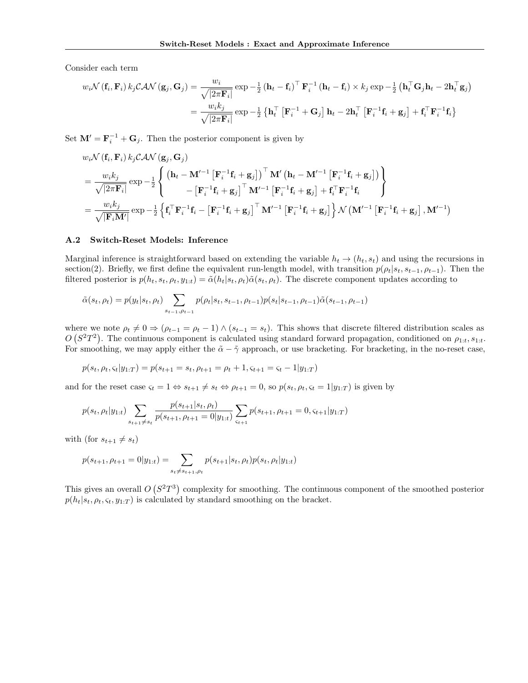Consider each term

$$
w_i \mathcal{N}(\mathbf{f}_i, \mathbf{F}_i) k_j \mathcal{C} \mathcal{A} \mathcal{N}(\mathbf{g}_j, \mathbf{G}_j) = \frac{w_i}{\sqrt{|2\pi \mathbf{F}_i|}} \exp{-\frac{1}{2} (\mathbf{h}_t - \mathbf{f}_i)^{\top} \mathbf{F}_i^{-1} (\mathbf{h}_t - \mathbf{f}_i) \times k_j \exp{-\frac{1}{2} (\mathbf{h}_t^{\top} \mathbf{G}_j \mathbf{h}_t - 2\mathbf{h}_t^{\top} \mathbf{g}_j)}
$$
  
= 
$$
\frac{w_i k_j}{\sqrt{|2\pi \mathbf{F}_i|}} \exp{-\frac{1}{2} (\mathbf{h}_t^{\top} [\mathbf{F}_i^{-1} + \mathbf{G}_j] \mathbf{h}_t - 2\mathbf{h}_t^{\top} [\mathbf{F}_i^{-1} \mathbf{f}_i + \mathbf{g}_j] + \mathbf{f}_i^{\top} \mathbf{F}_i^{-1} \mathbf{f}_i }
$$

Set  $\mathbf{M}' = \mathbf{F}_i^{-1} + \mathbf{G}_j$ . Then the posterior component is given by

$$
w_i \mathcal{N}(\mathbf{f}_i, \mathbf{F}_i) k_j \mathcal{C} \mathcal{A} \mathcal{N}(\mathbf{g}_j, \mathbf{G}_j)
$$
  
= 
$$
\frac{w_i k_j}{\sqrt{|2\pi \mathbf{F}_i|}} \exp{-\frac{1}{2} \left\{ \begin{pmatrix} \mathbf{h}_t - \mathbf{M}'^{-1} \left[ \mathbf{F}_i^{-1} \mathbf{f}_i + \mathbf{g}_j \right] \right)^{\top} \mathbf{M}' \left( \mathbf{h}_t - \mathbf{M}'^{-1} \left[ \mathbf{F}_i^{-1} \mathbf{f}_i + \mathbf{g}_j \right] \right) \right\}} \\ - \left[ \mathbf{F}_i^{-1} \mathbf{f}_i + \mathbf{g}_j \right]^{\top} \mathbf{M}'^{-1} \left[ \mathbf{F}_i^{-1} \mathbf{f}_i + \mathbf{g}_j \right] + \mathbf{f}_i^{\top} \mathbf{F}_i^{-1} \mathbf{f}_i \right\}} \\ = \frac{w_i k_j}{\sqrt{|\mathbf{F}_i \mathbf{M}'|}} \exp{-\frac{1}{2} \left\{ \mathbf{f}_i^{\top} \mathbf{F}_i^{-1} \mathbf{f}_i - \left[ \mathbf{F}_i^{-1} \mathbf{f}_i + \mathbf{g}_j \right]^{\top} \mathbf{M}'^{-1} \left[ \mathbf{F}_i^{-1} \mathbf{f}_i + \mathbf{g}_j \right] \right\} \mathcal{N} \left( \mathbf{M}'^{-1} \left[ \mathbf{F}_i^{-1} \mathbf{f}_i + \mathbf{g}_j \right], \mathbf{M}'^{-1} \right)}
$$

#### A.2 Switch-Reset Models: Inference

Marginal inference is straightforward based on extending the variable  $h_t \to (h_t, s_t)$  and using the recursions in section(2). Briefly, we first define the equivalent run-length model, with transition  $p(\rho_t|s_t, s_{t-1}, \rho_{t-1})$ . Then the filtered posterior is  $p(h_t, s_t, \rho_t, y_{1:t}) = \tilde{\alpha}(h_t|s_t, \rho_t)\tilde{\alpha}(s_t, \rho_t)$ . The discrete component updates according to

$$
\tilde{\alpha}(s_t, \rho_t) = p(y_t|s_t, \rho_t) \sum_{s_{t-1}, \rho_{t-1}} p(\rho_t|s_t, s_{t-1}, \rho_{t-1}) p(s_t|s_{t-1}, \rho_{t-1}) \tilde{\alpha}(s_{t-1}, \rho_{t-1})
$$

where we note  $\rho_t \neq 0 \Rightarrow (\rho_{t-1} = \rho_t - 1) \wedge (s_{t-1} = s_t)$ . This shows that discrete filtered distribution scales as  $O(S^2T^2)$ . The continuous component is calculated using standard forward propagation, conditioned on  $\rho_{1:t}$ ,  $s_{1:t}$ . For smoothing, we may apply either the  $\tilde{\alpha} - \tilde{\gamma}$  approach, or use bracketing. For bracketing, in the no-reset case,

$$
p(s_t, \rho_t, \varsigma_t | y_{1:T}) = p(s_{t+1} = s_t, \rho_{t+1} = \rho_t + 1, \varsigma_{t+1} = \varsigma_t - 1 | y_{1:T})
$$

and for the reset case  $\varsigma_t = 1 \Leftrightarrow s_{t+1} \neq s_t \Leftrightarrow \rho_{t+1} = 0$ , so  $p(s_t, \rho_t, \varsigma_t = 1 | y_{1:T})$  is given by

$$
p(s_t, \rho_t | y_{1:t}) \sum_{s_{t+1} \neq s_t} \frac{p(s_{t+1} | s_t, \rho_t)}{p(s_{t+1}, \rho_{t+1} = 0 | y_{1:t})} \sum_{s_{t+1}} p(s_{t+1}, \rho_{t+1} = 0, s_{t+1} | y_{1:T})
$$

with (for  $s_{t+1} \neq s_t$ )

$$
p(s_{t+1}, \rho_{t+1} = 0 | y_{1:t}) = \sum_{s_t \neq s_{t+1}, \rho_t} p(s_{t+1} | s_t, \rho_t) p(s_t, \rho_t | y_{1:t})
$$

This gives an overall  $O(S^2T^3)$  complexity for smoothing. The continuous component of the smoothed posterior  $p(h_t|s_t, \rho_t, \varsigma_t, y_{1:T})$  is calculated by standard smoothing on the bracket.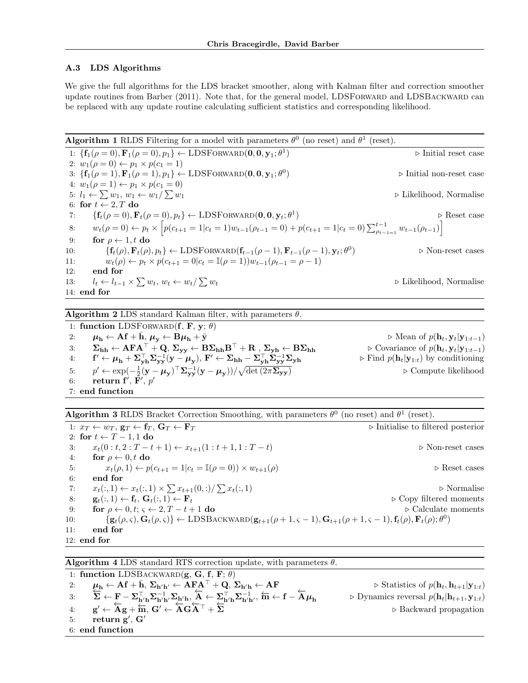### A.3 LDS Algorithms

We give the full algorithms for the LDS bracket smoother, along with Kalman filter and correction smoother update routines from Barber (2011). Note that, for the general model, LDSFORWARD and LDSBACKWARD can be replaced with any update routine calculating sufficient statistics and corresponding likelihood.

**Algorithm 1** RLDS Filtering for a model with parameters  $\theta^0$  (no reset) and  $\theta^1$  (reset). 1:  $\{f_1(\rho=0), \mathbf{F}_1(\rho=0), p_1\} \leftarrow \text{LDSFORWARD}(\mathbf{0}, \mathbf{0}, \mathbf{y}_1; \theta^1)$  $\triangleright$  Initial reset case 2:  $w_1(\rho = 0) \leftarrow p_1 \times p(c_1 = 1)$ 3:  $\{f_1(\rho=1), F_1(\rho=1), p_1\} \leftarrow \text{LDSFORWARD}(\mathbf{0}, \mathbf{0}, \mathbf{y}_1; \theta^0)$  $\triangleright$  Initial non-reset case 4:  $w_1(\rho = 1) \leftarrow p_1 \times p(c_1 = 0)$ 5:  $l_1 \leftarrow \sum w_1, w_1 \leftarrow w_1/$  $\triangleright$  Likelihood, Normalise 6: for  $t \leftarrow 2, T$  do<br>7: { $\mathbf{f}_t(\rho = 0)$ , **F** 7:  $\{ \mathbf{f}_t(\rho = 0), \mathbf{F}_t(\rho = 0), p_t \} \leftarrow \text{LDSFORMARD}(\mathbf{0}, \mathbf{0}, \mathbf{y}_t; \theta^1)$  $\triangleright$  Reset case 8:  $w_t(\rho = 0) \leftarrow p_t \times \left[ p(c_{t+1} = 1 | c_t = 1) w_{t-1}(\rho_{t-1} = 0) + p(c_{t+1} = 1 | c_t = 0) \sum_{\rho_{t-1} = 1}^{t-1} w_{t-1}(\rho_{t-1}) \right]$ 9: for  $\rho \leftarrow 1, t$  do<br>10:  $\{f_t(\rho), \mathbf{F}_t(\rho)\}$ 10:  $\{ \mathbf{f}_t(\rho), \mathbf{F}_t(\rho), p_t \} \leftarrow \text{LDSFORMARD}(\mathbf{f}_{t-1}(\rho-1), \mathbf{F}_{t-1}(\rho-1), \mathbf{y}_t; \theta^0)$  $\triangleright$  Non-reset cases 11:  $w_t(\rho) \leftarrow p_t \times p(c_{t+1} = 0|c_t = \mathbb{I}(\rho = 1))w_{t-1}(\rho_{t-1} = \rho - 1)$ <br>12: end for end for 13:  $l_t \leftarrow l_{t-1} \times \sum w_t, w_t \leftarrow w_t$  $\triangleright$  Likelihood, Normalise 14: end for

**Algorithm 2** LDS standard Kalman filter, with parameters  $\theta$ .

1: function LDSFORWARD(f, F, y;  $\theta$ ) 2:  $\mu_h \leftarrow Af + \bar{h}, \mu_y \leftarrow B\mu_h + \bar{y}$ <br>
3:  $\Sigma_{hh} \leftarrow AFA^{\top} + Q, \Sigma_{vv} \leftarrow B\Sigma_{hh}B^{\top} + R, \Sigma_{vh} \leftarrow B\Sigma_{hh}$   $\triangleright$  Covariance of  $p(h_t, y_t|y_{1:t-1})$ 3:  $\Sigma_{hh} \leftarrow AFA^{\top} + Q$ ,  $\Sigma_{yy} \leftarrow B\Sigma_{hh}B^{\top} + R$ ,  $\Sigma_{yh} \leftarrow B\Sigma_{hh}$  $4:$  $\mathcal{O}' \leftarrow \boldsymbol{\mu}_\mathbf{h} + \boldsymbol{\Sigma}_{\mathbf{yh}}^\top \boldsymbol{\Sigma}_{\mathbf{yy}}^{-1} (\mathbf{y} - \boldsymbol{\mu}_{\mathbf{y}}), \ \mathbf{F}' \leftarrow \boldsymbol{\Sigma}_{\mathbf{hh}} - \boldsymbol{\Sigma}_{\mathbf{yh}}^\top \boldsymbol{\Sigma}_{\mathbf{yy}}^{-1}$  $\triangleright$  Find  $p(\mathbf{h}_t|\mathbf{y}_{1:t})$  by conditioning 5:  $p' \leftarrow \exp(-\frac{1}{2}(\mathbf{y} - \boldsymbol{\mu}_{\mathbf{y}})^{\top} \boldsymbol{\Sigma}_{\mathbf{y}\mathbf{y}}^{-1} (\mathbf{y} - \boldsymbol{\mu}_{\mathbf{y}}))/\sqrt{\frac{1}{2} \sum_{\mathbf{y} \in \mathcal{Y}} \exp(-\frac{1}{2} (\mathbf{y} - \boldsymbol{\mu}_{\mathbf{y}}))^2}$  $▶$  Compute likelihood  $6: \quad \quad \textbf{return } \mathbf{f}', \, \mathbf{F}', \, p'$ 7: end function

**Algorithm 3** RLDS Bracket Correction Smoothing, with parameters  $\theta^0$  (no reset) and  $\theta^1$  (reset).

1:  $x_T \leftarrow w_T$ ,  $\mathbf{g}_T \leftarrow \mathbf{f}_T$ ,  $\mathbf{G}_T \leftarrow \mathbf{F}_T$  <br> > Initialise to filtered posterior 2: for  $t \leftarrow T - 1, 1$  do<br>3:  $x_t(0 : t, 2 : T - t)$ 3:  $x_t(0 : t, 2 : T - t + 1) \leftarrow x_{t+1}(1 : t + 1, 1 : T - t)$  <br>
⇒ Non-reset cases <br>
4: **for**  $\rho \leftarrow 0, t$  **do** 4: for  $\rho \leftarrow 0, t$  do<br>5:  $x_t(\rho, 1) \leftarrow p$ 5:  $x_t(\rho, 1) \leftarrow p(c_{t+1} = 1 | c_t = \mathbb{I}(\rho = 0)) \times w_{t+1}(\rho)$   $\triangleright$  Reset cases end for 6: end for 7:  $x_t(:,1) \leftarrow x_t(:,1) \times \sum x_{t+1}(0,:)/\sum x_t(:,1)$   $\triangleright$  Normalise 8:  $\mathbf{g}_t(:,1) \leftarrow \mathbf{f}_t, \mathbf{G}_t(:,1) \leftarrow \mathbf{F}_t$  .  $\triangleright \text{Copy filtered moments}$ <br>
9: for  $\rho \leftarrow 0, t; \varsigma \leftarrow 2, T - t + 1$  do  $\triangleright \text{Calculate moments}$ 9: for  $\rho \leftarrow 0, t; \varsigma \leftarrow 2, T - t + 1$  do  $\{g_t(\rho, \varsigma), \mathbf{G}_t(\rho, \varsigma)\}\leftarrow \text{LDSB}$ 10:  $\{g_t(\rho, \varsigma), G_t(\rho, \varsigma)\} \leftarrow \text{LDSBACKWARD} (g_{t+1}(\rho+1, \varsigma-1), G_{t+1}(\rho+1, \varsigma-1), f_t(\rho), F_t(\rho); \theta^0)$ 11: end for 12: end for

**Algorithm 4** LDS standard RTS correction update, with parameters  $\theta$ .

1: function LDSBACKWARD $(g, G, f, F; \theta)$ 2:  $\mu_h \leftarrow \mathbf{A} \mathbf{f} + \bar{\mathbf{h}}, \ \Sigma_{\mathbf{h}'\mathbf{h}'} \leftarrow \mathbf{\overline{A}} \mathbf{F} + \mathbf{Q}, \ \Sigma_{\mathbf{h}'\mathbf{h}} \leftarrow \mathbf{A} \mathbf{F}$   $\rightarrow$  Statistics of  $p(\mathbf{h}_t, \mathbf{h}_{t+1} | \mathbf{y}_{1:t})$ <br>
3:  $\Sigma \leftarrow \mathbf{F} - \Sigma_{\mathbf{h}'\mathbf{h}}^{-1} \Sigma_{\mathbf{h}'\mathbf{h}'} \Sigma_{\mathbf{h}'\mathbf{$ 3: ► Dynamics reversal  $p(\mathbf{h}_t|\mathbf{h}_{t+1}, \mathbf{y}_{1:t})$ 4:  $g' \leftarrow \overleftarrow{A}g + \overleftarrow{m}, G' \leftarrow \overleftarrow{A}G\overleftarrow{A}^{\top} + \overleftarrow{\Sigma}$   $\triangleright$  Backward propagation  $5:$  return  $\mathbf{g}',\,\mathbf{G}'$ 6: end function